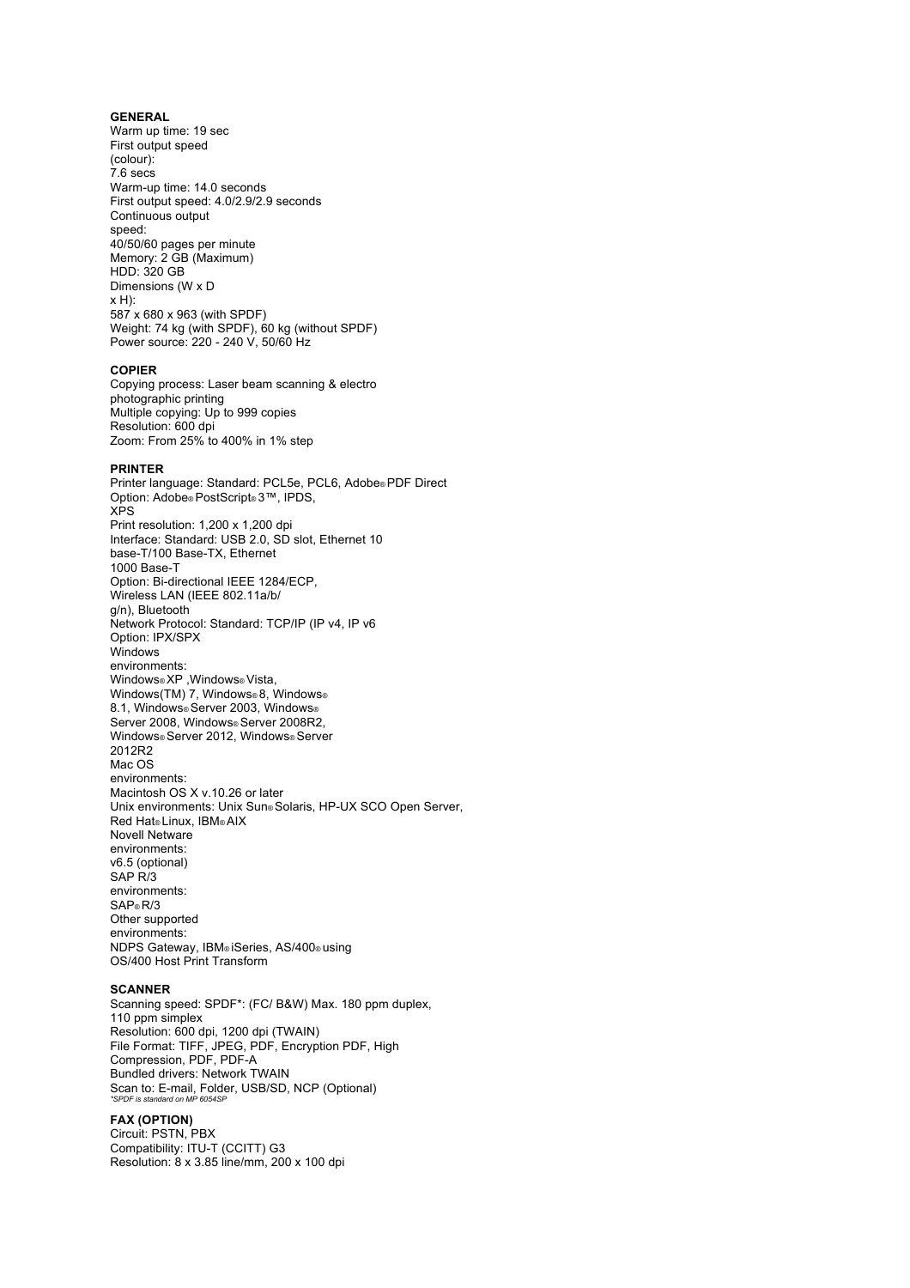### **GENERAL**

Warm up time: 19 sec First output speed (colour):  $7.6$  secs Warm-up time: 14.0 seconds First output speed: 4.0/2.9/2.9 seconds Continuous output speed: 40/50/60 pages per minute Memory: 2 GB (Maximum) HDD: 320 GB Dimensions (W x D x H): 587 x 680 x 963 (with SPDF) Weight: 74 kg (with SPDF), 60 kg (without SPDF) Power source: 220 - 240 V, 50/60 Hz

### **COPIER**

Copying process: Laser beam scanning & electro photographic printing Multiple copying: Up to 999 copies Resolution: 600 dpi Zoom: From 25% to 400% in 1% step

### **PRINTER**

Printer language: Standard: PCL5e, PCL6, Adobe® PDF Direct Option: Adobe® PostScript® 3™, IPDS, XPS Print resolution: 1,200 x 1,200 dpi Interface: Standard: USB 2.0, SD slot, Ethernet 10 base-T/100 Base-TX, Ethernet 1000 Base-T Option: Bi-directional IEEE 1284/ECP, Wireless LAN (IEEE 802.11a/b/ g/n), Bluetooth Network Protocol: Standard: TCP/IP (IP v4, IP v6 Option: IPX/SPX Windows environments: Windows® XP ,Windows® Vista, Windows(TM) 7, Windows® 8, Windows® 8.1, Windows® Server 2003, Windows® Server 2008, Windows® Server 2008R2, Windows® Server 2012, Windows® Server 2012R2 Mac OS environments: Macintosh OS X v.10.26 or later Unix environments: Unix Sun® Solaris, HP-UX SCO Open Server, Red Hat® Linux, IBM® AIX Novell Netware environments: v6.5 (optional) SAP R/3 environments: SAP® R/3 Other supported environments: NDPS Gateway, IBM® iSeries, AS/400® using OS/400 Host Print Transform

#### **SCANNER**

Scanning speed: SPDF\*: (FC/ B&W) Max. 180 ppm duplex, 110 ppm simplex Resolution: 600 dpi, 1200 dpi (TWAIN) File Format: TIFF, JPEG, PDF, Encryption PDF, High Compression, PDF, PDF-A Bundled drivers: Network TWAIN Scan to: E-mail, Folder, USB/SD, NCP (Optional) *\*SPDF is standard on MP 6054SP*

# **FAX (OPTION)**

Circuit: PSTN, PBX Compatibility: ITU-T (CCITT) G3 Resolution: 8 x 3.85 line/mm, 200 x 100 dpi